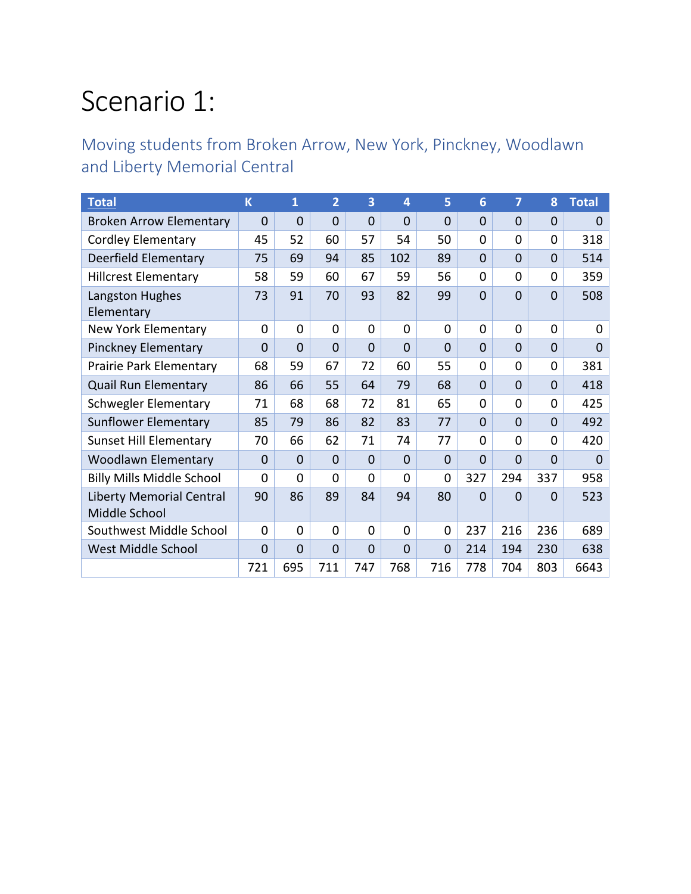# Scenario 1:

Moving students from Broken Arrow, New York, Pinckney, Woodlawn and Liberty Memorial Central

| <b>Total</b>                     | $\overline{\mathsf{K}}$ | $\mathbf{1}$   | $\overline{2}$ | 3              | 4              | 5              | 6              | 7              | 8              | <b>Total</b>   |
|----------------------------------|-------------------------|----------------|----------------|----------------|----------------|----------------|----------------|----------------|----------------|----------------|
| <b>Broken Arrow Elementary</b>   | $\mathbf{0}$            | $\mathbf 0$    | $\overline{0}$ | $\overline{0}$ | $\overline{0}$ | $\overline{0}$ | $\overline{0}$ | $\overline{0}$ | $\mathbf 0$    | $\mathbf 0$    |
| <b>Cordley Elementary</b>        | 45                      | 52             | 60             | 57             | 54             | 50             | 0              | 0              | 0              | 318            |
| Deerfield Elementary             | 75                      | 69             | 94             | 85             | 102            | 89             | $\overline{0}$ | $\overline{0}$ | $\mathbf{0}$   | 514            |
| <b>Hillcrest Elementary</b>      | 58                      | 59             | 60             | 67             | 59             | 56             | 0              | $\Omega$       | 0              | 359            |
| Langston Hughes                  | 73                      | 91             | 70             | 93             | 82             | 99             | $\overline{0}$ | $\overline{0}$ | $\mathbf{0}$   | 508            |
| Elementary                       |                         |                |                |                |                |                |                |                |                |                |
| New York Elementary              | $\mathbf 0$             | $\mathbf 0$    | $\overline{0}$ | 0              | 0              | 0              | 0              | 0              | $\Omega$       | $\mathbf 0$    |
| <b>Pinckney Elementary</b>       | $\overline{0}$          | $\overline{0}$ | $\Omega$       | $\overline{0}$ | $\overline{0}$ | $\overline{0}$ | $\overline{0}$ | $\Omega$       | $\overline{0}$ | $\overline{0}$ |
| Prairie Park Elementary          | 68                      | 59             | 67             | 72             | 60             | 55             | 0              | 0              | 0              | 381            |
| <b>Quail Run Elementary</b>      | 86                      | 66             | 55             | 64             | 79             | 68             | $\Omega$       | $\overline{0}$ | $\overline{0}$ | 418            |
| <b>Schwegler Elementary</b>      | 71                      | 68             | 68             | 72             | 81             | 65             | 0              | 0              | 0              | 425            |
| Sunflower Elementary             | 85                      | 79             | 86             | 82             | 83             | 77             | $\overline{0}$ | $\Omega$       | $\overline{0}$ | 492            |
| <b>Sunset Hill Elementary</b>    | 70                      | 66             | 62             | 71             | 74             | 77             | 0              | $\Omega$       | $\Omega$       | 420            |
| <b>Woodlawn Elementary</b>       | $\mathbf 0$             | $\Omega$       | $\Omega$       | $\Omega$       | $\mathbf 0$    | $\Omega$       | $\Omega$       | $\Omega$       | $\Omega$       | $\Omega$       |
| <b>Billy Mills Middle School</b> | $\Omega$                | $\Omega$       | $\Omega$       | 0              | 0              | 0              | 327            | 294            | 337            | 958            |
| <b>Liberty Memorial Central</b>  | 90                      | 86             | 89             | 84             | 94             | 80             | $\overline{0}$ | $\overline{0}$ | $\mathbf 0$    | 523            |
| Middle School                    |                         |                |                |                |                |                |                |                |                |                |
| Southwest Middle School          | $\Omega$                | $\Omega$       | $\Omega$       | $\Omega$       | 0              | $\overline{0}$ | 237            | 216            | 236            | 689            |
| West Middle School               | $\mathbf 0$             | $\Omega$       | $\mathbf 0$    | $\Omega$       | $\mathbf 0$    | $\overline{0}$ | 214            | 194            | 230            | 638            |
|                                  | 721                     | 695            | 711            | 747            | 768            | 716            | 778            | 704            | 803            | 6643           |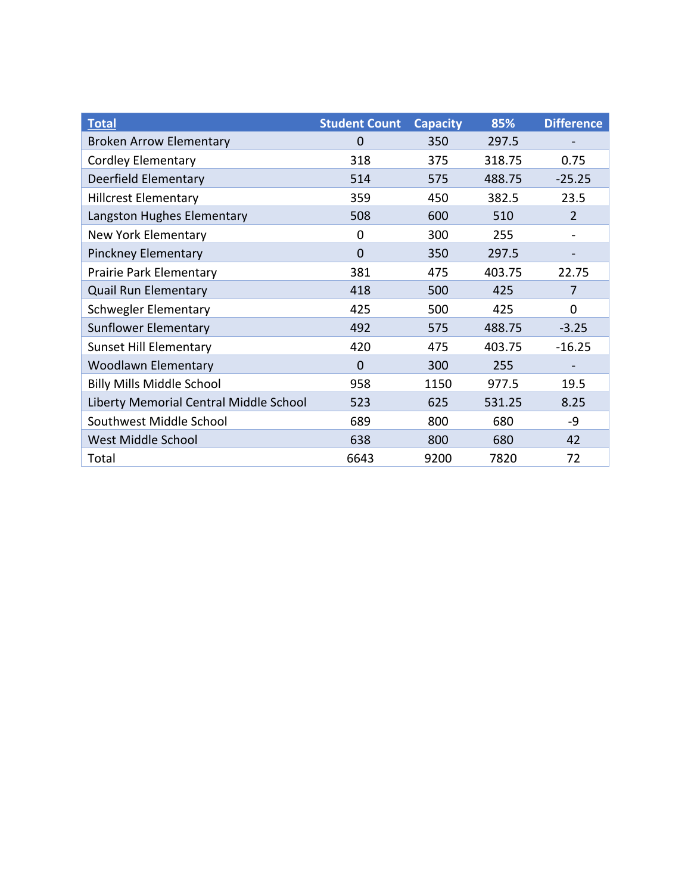| <b>Total</b>                           | <b>Student Count</b> | <b>Capacity</b> | 85%    | <b>Difference</b> |
|----------------------------------------|----------------------|-----------------|--------|-------------------|
| <b>Broken Arrow Elementary</b>         | 0                    | 350             | 297.5  |                   |
| <b>Cordley Elementary</b>              | 318                  | 375             | 318.75 | 0.75              |
| Deerfield Elementary                   | 514                  | 575             | 488.75 | $-25.25$          |
| <b>Hillcrest Elementary</b>            | 359                  | 450             | 382.5  | 23.5              |
| Langston Hughes Elementary             | 508                  | 600             | 510    | $\overline{2}$    |
| <b>New York Elementary</b>             | 0                    | 300             | 255    |                   |
| Pinckney Elementary                    | 0                    | 350             | 297.5  |                   |
| Prairie Park Elementary                | 381                  | 475             | 403.75 | 22.75             |
| <b>Quail Run Elementary</b>            | 418                  | 500             | 425    | 7                 |
| <b>Schwegler Elementary</b>            | 425                  | 500             | 425    | 0                 |
| <b>Sunflower Elementary</b>            | 492                  | 575             | 488.75 | $-3.25$           |
| <b>Sunset Hill Elementary</b>          | 420                  | 475             | 403.75 | $-16.25$          |
| <b>Woodlawn Elementary</b>             | 0                    | 300             | 255    |                   |
| <b>Billy Mills Middle School</b>       | 958                  | 1150            | 977.5  | 19.5              |
| Liberty Memorial Central Middle School | 523                  | 625             | 531.25 | 8.25              |
| Southwest Middle School                | 689                  | 800             | 680    | -9                |
| West Middle School                     | 638                  | 800             | 680    | 42                |
| Total                                  | 6643                 | 9200            | 7820   | 72                |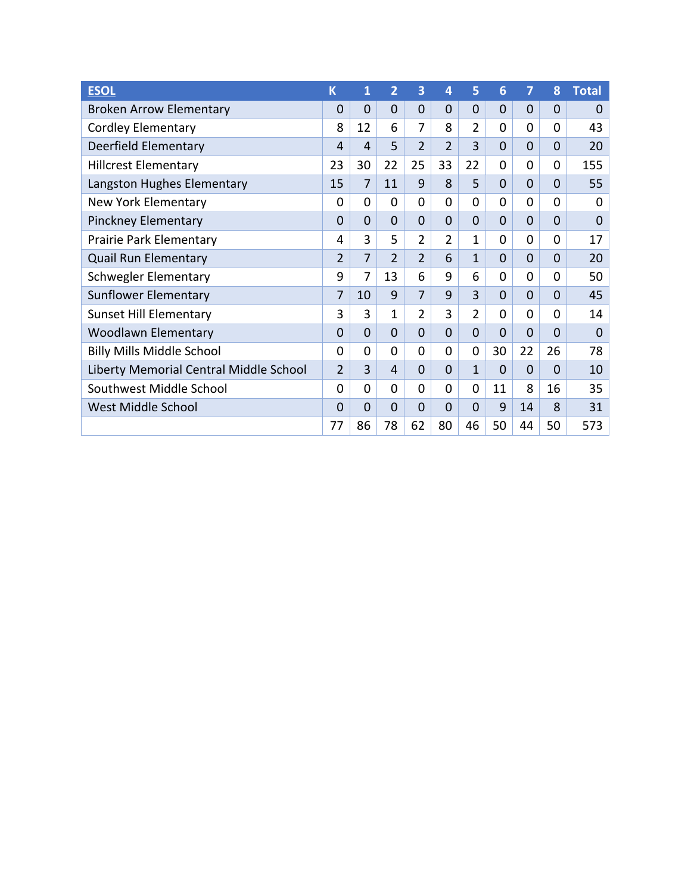| <b>ESOL</b>                            | K              | 1              | $\overline{2}$ | 3              | 4              | 5              | 6              | 7        | 8        | <b>Total</b>     |
|----------------------------------------|----------------|----------------|----------------|----------------|----------------|----------------|----------------|----------|----------|------------------|
| <b>Broken Arrow Elementary</b>         | $\mathbf 0$    | $\overline{0}$ | $\overline{0}$ | 0              | $\mathbf 0$    | $\overline{0}$ | $\overline{0}$ | $\Omega$ | 0        | $\Omega$         |
| <b>Cordley Elementary</b>              | 8              | 12             | 6              | 7              | 8              | $\overline{2}$ | 0              | $\Omega$ | $\Omega$ | 43               |
| Deerfield Elementary                   | 4              | 4              | 5              | $\overline{2}$ | $\overline{2}$ | 3              | 0              | $\Omega$ | 0        | 20               |
| <b>Hillcrest Elementary</b>            | 23             | 30             | 22             | 25             | 33             | 22             | 0              | $\Omega$ | 0        | 155              |
| Langston Hughes Elementary             | 15             | $\overline{7}$ | 11             | 9              | 8              | 5              | 0              | $\Omega$ | 0        | 55               |
| <b>New York Elementary</b>             | 0              | 0              | 0              | 0              | $\Omega$       | 0              | $\Omega$       | $\Omega$ | 0        | 0                |
| <b>Pinckney Elementary</b>             | $\mathbf 0$    | $\overline{0}$ | $\overline{0}$ | 0              | $\Omega$       | $\overline{0}$ | $\mathbf 0$    | $\Omega$ | $\Omega$ | $\boldsymbol{0}$ |
| Prairie Park Elementary                | 4              | 3              | 5              | $\overline{2}$ | 2              | $\mathbf{1}$   | 0              | 0        | 0        | 17               |
| <b>Quail Run Elementary</b>            | $\overline{2}$ | 7              | $\overline{2}$ | $\overline{2}$ | 6              | 1              | 0              | $\Omega$ | 0        | 20               |
| <b>Schwegler Elementary</b>            | 9              | 7              | 13             | 6              | 9              | 6              | 0              | $\Omega$ | 0        | 50               |
| Sunflower Elementary                   | 7              | 10             | 9              | $\overline{7}$ | 9              | $\overline{3}$ | $\Omega$       | $\Omega$ | $\Omega$ | 45               |
| <b>Sunset Hill Elementary</b>          | 3              | 3              | 1              | $\overline{2}$ | 3              | $\overline{2}$ | 0              | $\Omega$ | 0        | 14               |
| <b>Woodlawn Elementary</b>             | 0              | $\mathbf{0}$   | $\Omega$       | 0              | $\Omega$       | $\overline{0}$ | $\overline{0}$ | $\Omega$ | 0        | $\Omega$         |
| <b>Billy Mills Middle School</b>       | 0              | $\Omega$       | 0              | 0              | $\Omega$       | 0              | 30             | 22       | 26       | 78               |
| Liberty Memorial Central Middle School | $\overline{2}$ | 3              | 4              | 0              | $\Omega$       | 1              | $\Omega$       | $\Omega$ | 0        | 10               |
| Southwest Middle School                | 0              | $\Omega$       | $\Omega$       | $\Omega$       | $\Omega$       | 0              | 11             | 8        | 16       | 35               |
| <b>West Middle School</b>              | 0              | $\overline{0}$ | $\overline{0}$ | $\overline{0}$ | $\Omega$       | 0              | 9              | 14       | 8        | 31               |
|                                        | 77             | 86             | 78             | 62             | 80             | 46             | 50             | 44       | 50       | 573              |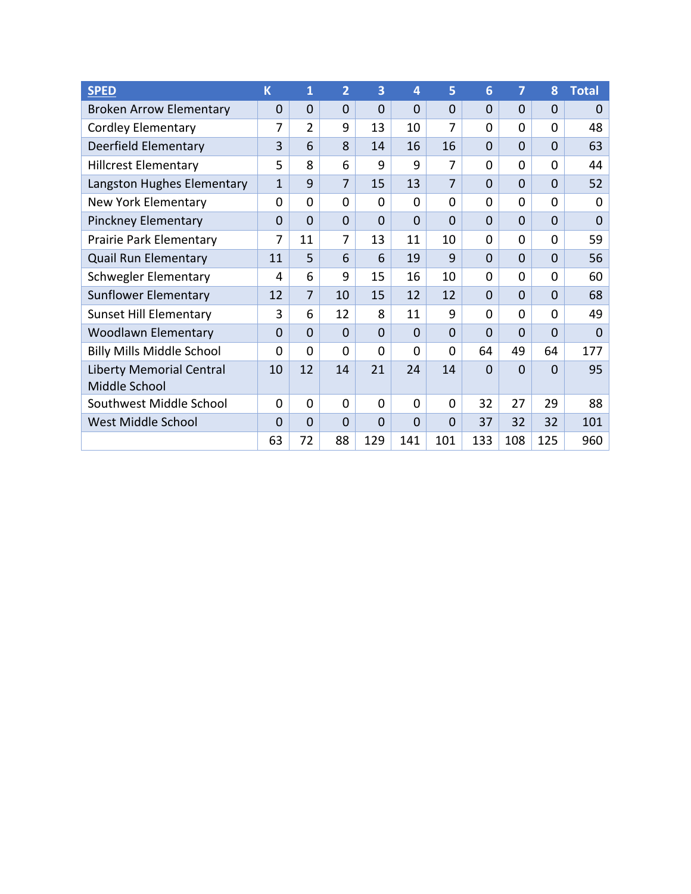| <b>SPED</b>                      | K              | $\mathbf{1}$   | $\overline{2}$ | 3              | 4              | 5              | 6              | 7              | 8              | <b>Total</b>   |
|----------------------------------|----------------|----------------|----------------|----------------|----------------|----------------|----------------|----------------|----------------|----------------|
| <b>Broken Arrow Elementary</b>   | $\mathbf 0$    | $\overline{0}$ | $\overline{0}$ | $\overline{0}$ | $\overline{0}$ | $\overline{0}$ | $\overline{0}$ | $\overline{0}$ | $\mathbf 0$    | $\mathbf 0$    |
| <b>Cordley Elementary</b>        | 7              | $\overline{2}$ | 9              | 13             | 10             | 7              | 0              | 0              | $\mathbf 0$    | 48             |
| Deerfield Elementary             | 3              | 6              | 8              | 14             | 16             | 16             | 0              | $\overline{0}$ | $\Omega$       | 63             |
| <b>Hillcrest Elementary</b>      | 5              | 8              | 6              | 9              | 9              | 7              | 0              | 0              | $\mathbf{0}$   | 44             |
| Langston Hughes Elementary       | $\overline{1}$ | 9              | $\overline{7}$ | 15             | 13             | 7              | $\overline{0}$ | $\overline{0}$ | $\overline{0}$ | 52             |
| New York Elementary              | 0              | 0              | 0              | $\Omega$       | $\Omega$       | $\Omega$       | 0              | 0              | $\mathbf{0}$   | 0              |
| <b>Pinckney Elementary</b>       | $\mathbf 0$    | $\overline{0}$ | $\overline{0}$ | $\Omega$       | $\Omega$       | $\overline{0}$ | $\overline{0}$ | $\overline{0}$ | $\Omega$       | $\overline{0}$ |
| Prairie Park Elementary          | 7              | 11             | 7              | 13             | 11             | 10             | 0              | 0              | $\Omega$       | 59             |
| <b>Quail Run Elementary</b>      | 11             | 5              | 6              | 6              | 19             | 9              | $\overline{0}$ | $\overline{0}$ | $\overline{0}$ | 56             |
| <b>Schwegler Elementary</b>      | 4              | 6              | 9              | 15             | 16             | 10             | 0              | 0              | $\Omega$       | 60             |
| <b>Sunflower Elementary</b>      | 12             | $\overline{7}$ | 10             | 15             | 12             | 12             | $\overline{0}$ | $\Omega$       | $\Omega$       | 68             |
| <b>Sunset Hill Elementary</b>    | 3              | 6              | 12             | 8              | 11             | 9              | $\overline{0}$ | $\overline{0}$ | $\Omega$       | 49             |
| Woodlawn Elementary              | $\mathbf 0$    | $\Omega$       | $\Omega$       | $\Omega$       | $\Omega$       | $\Omega$       | $\overline{0}$ | $\overline{0}$ | $\Omega$       | $\Omega$       |
| <b>Billy Mills Middle School</b> | $\Omega$       | 0              | 0              | $\Omega$       | $\Omega$       | $\Omega$       | 64             | 49             | 64             | 177            |
| Liberty Memorial Central         | 10             | 12             | 14             | 21             | 24             | 14             | $\overline{0}$ | $\Omega$       | $\Omega$       | 95             |
| Middle School                    |                |                |                |                |                |                |                |                |                |                |
| Southwest Middle School          | $\overline{0}$ | 0              | $\overline{0}$ | $\overline{0}$ | $\overline{0}$ | $\mathbf 0$    | 32             | 27             | 29             | 88             |
| West Middle School               | $\Omega$       | $\overline{0}$ | $\Omega$       | $\Omega$       | $\Omega$       | $\Omega$       | 37             | 32             | 32             | 101            |
|                                  | 63             | 72             | 88             | 129            | 141            | 101            | 133            | 108            | 125            | 960            |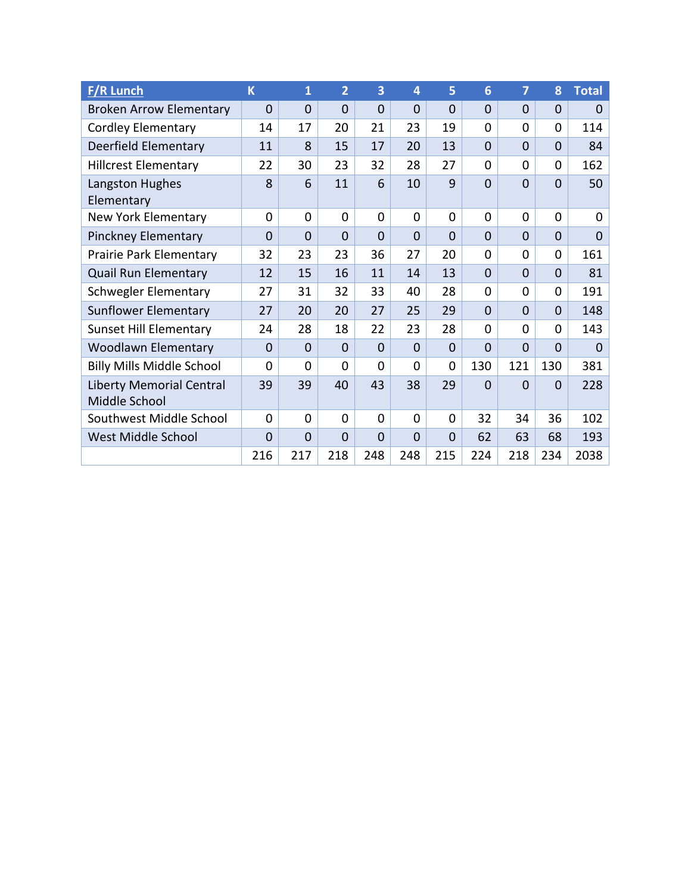| <b>F/R Lunch</b>                                 | K              | $\overline{\mathbf{1}}$ | 2              | 3              | $\overline{4}$ | 5              | 6              | 7              | 8              | <b>Total</b>   |
|--------------------------------------------------|----------------|-------------------------|----------------|----------------|----------------|----------------|----------------|----------------|----------------|----------------|
| <b>Broken Arrow Elementary</b>                   | $\mathbf 0$    | $\overline{0}$          | $\overline{0}$ | $\overline{0}$ | $\overline{0}$ | $\overline{0}$ | $\overline{0}$ | $\overline{0}$ | $\overline{0}$ | $\Omega$       |
| <b>Cordley Elementary</b>                        | 14             | 17                      | 20             | 21             | 23             | 19             | $\Omega$       | 0              | $\Omega$       | 114            |
| Deerfield Elementary                             | 11             | 8                       | 15             | 17             | 20             | 13             | $\overline{0}$ | $\overline{0}$ | $\overline{0}$ | 84             |
| <b>Hillcrest Elementary</b>                      | 22             | 30                      | 23             | 32             | 28             | 27             | $\Omega$       | 0              | 0              | 162            |
| Langston Hughes<br>Elementary                    | 8              | 6                       | 11             | 6              | 10             | 9              | $\overline{0}$ | $\overline{0}$ | $\mathbf{0}$   | 50             |
| <b>New York Elementary</b>                       | 0              | 0                       | 0              | 0              | $\overline{0}$ | $\overline{0}$ | $\mathbf 0$    | 0              | $\overline{0}$ | 0              |
| Pinckney Elementary                              | $\overline{0}$ | $\overline{0}$          | $\overline{0}$ | $\overline{0}$ | $\overline{0}$ | $\overline{0}$ | $\overline{0}$ | $\overline{0}$ | $\overline{0}$ | $\overline{0}$ |
| Prairie Park Elementary                          | 32             | 23                      | 23             | 36             | 27             | 20             | $\mathbf 0$    | 0              | 0              | 161            |
| <b>Quail Run Elementary</b>                      | 12             | 15                      | 16             | 11             | 14             | 13             | $\overline{0}$ | $\overline{0}$ | $\overline{0}$ | 81             |
| <b>Schwegler Elementary</b>                      | 27             | 31                      | 32             | 33             | 40             | 28             | $\Omega$       | 0              | 0              | 191            |
| <b>Sunflower Elementary</b>                      | 27             | 20                      | 20             | 27             | 25             | 29             | $\overline{0}$ | $\overline{0}$ | $\Omega$       | 148            |
| <b>Sunset Hill Elementary</b>                    | 24             | 28                      | 18             | 22             | 23             | 28             | $\Omega$       | 0              | $\Omega$       | 143            |
| <b>Woodlawn Elementary</b>                       | $\mathbf 0$    | $\overline{0}$          | $\Omega$       | $\Omega$       | $\Omega$       | $\Omega$       | $\overline{0}$ | $\overline{0}$ | $\Omega$       | $\Omega$       |
| <b>Billy Mills Middle School</b>                 | 0              | 0                       | 0              | 0              | $\overline{0}$ | $\overline{0}$ | 130            | 121            | 130            | 381            |
| <b>Liberty Memorial Central</b><br>Middle School | 39             | 39                      | 40             | 43             | 38             | 29             | $\overline{0}$ | $\overline{0}$ | $\mathbf 0$    | 228            |
| Southwest Middle School                          | $\overline{0}$ | $\overline{0}$          | 0              | $\overline{0}$ | $\overline{0}$ | $\overline{0}$ | 32             | 34             | 36             | 102            |
| West Middle School                               | $\mathbf 0$    | $\mathbf 0$             | $\overline{0}$ | $\overline{0}$ | $\overline{0}$ | $\overline{0}$ | 62             | 63             | 68             | 193            |
|                                                  | 216            | 217                     | 218            | 248            | 248            | 215            | 224            | 218            | 234            | 2038           |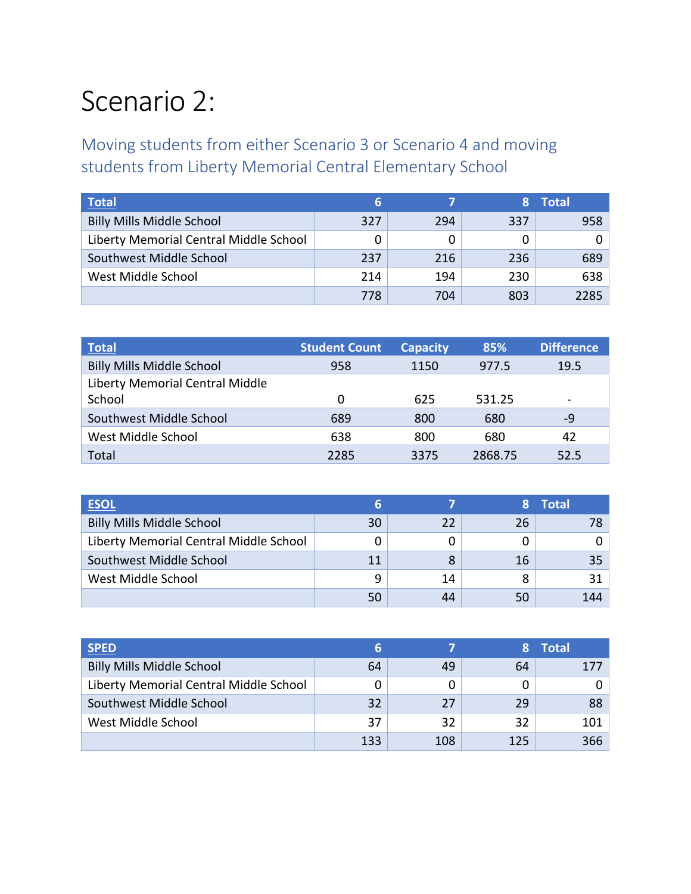### Scenario 2:

Moving students from either Scenario 3 or Scenario 4 and moving students from Liberty Memorial Central Elementary School

| <b>Total</b>                           | 6   |     |     | <b>Total</b> |
|----------------------------------------|-----|-----|-----|--------------|
| <b>Billy Mills Middle School</b>       | 327 | 294 | 337 | 958          |
| Liberty Memorial Central Middle School |     |     |     |              |
| Southwest Middle School                | 237 | 216 | 236 | 689          |
| West Middle School                     | 214 | 194 | 230 | 638          |
|                                        | 778 | 704 | 803 | 2285         |

| <b>Total</b>                     | <b>Student Count</b> | <b>Capacity</b> | 85%     | <b>Difference</b> |
|----------------------------------|----------------------|-----------------|---------|-------------------|
| <b>Billy Mills Middle School</b> | 958                  | 1150            | 977.5   | 19.5              |
| Liberty Memorial Central Middle  |                      |                 |         |                   |
| School                           | 0                    | 625             | 531.25  |                   |
| Southwest Middle School          | 689                  | 800             | 680     | $-9$              |
| West Middle School               | 638                  | 800             | 680     | 42                |
| Total                            | 2285                 | 3375            | 2868.75 | 52.5              |

| <b>ESOL</b>                            |    |    |    | <b>Total</b> |
|----------------------------------------|----|----|----|--------------|
| <b>Billy Mills Middle School</b>       | 30 | 22 | 26 |              |
| Liberty Memorial Central Middle School |    |    |    |              |
| Southwest Middle School                | 11 | 8  | 16 | 35           |
| West Middle School                     | q  | 14 | 8  | 31           |
|                                        |    | 44 | 50 | 144          |

| <b>SPED</b>                            |     |     |     | <b>Total</b> |
|----------------------------------------|-----|-----|-----|--------------|
| <b>Billy Mills Middle School</b>       | 64  | 49  | 64  | 177          |
| Liberty Memorial Central Middle School |     |     |     |              |
| Southwest Middle School                | 32  | 27  | 29  | 88           |
| West Middle School                     | 37  | 32  | 32  | 101          |
|                                        | 133 | 108 | 125 | 366          |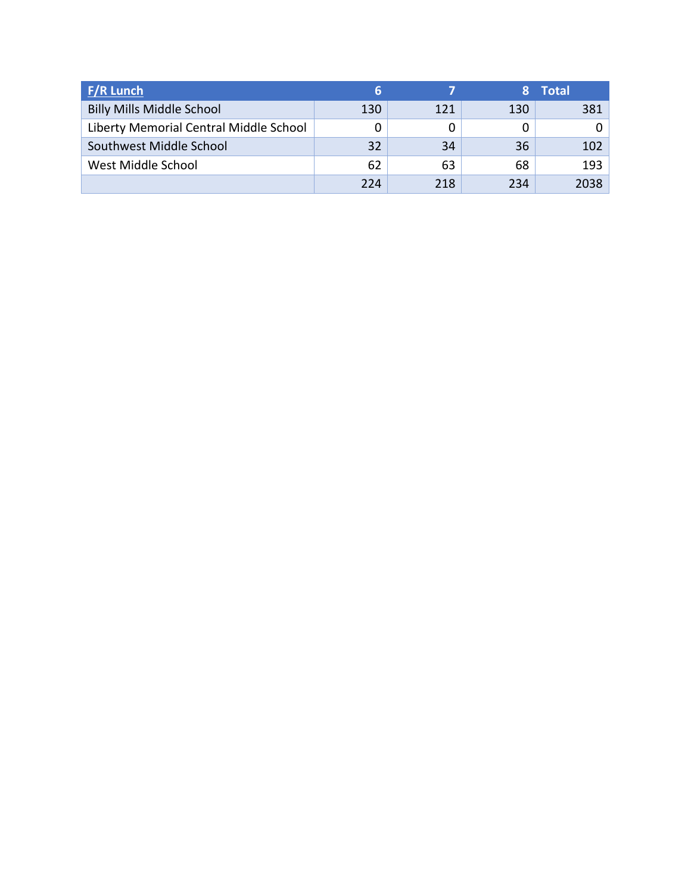| F/R Lunch                              | 6   |     |     | <b>Total</b> |
|----------------------------------------|-----|-----|-----|--------------|
| <b>Billy Mills Middle School</b>       | 130 | 121 | 130 | 381          |
| Liberty Memorial Central Middle School |     |     |     |              |
| Southwest Middle School                | 32  | 34  | 36  | 102          |
| West Middle School                     | 62  | 63  | 68  | 193          |
|                                        | 224 | 218 | 234 | 2038         |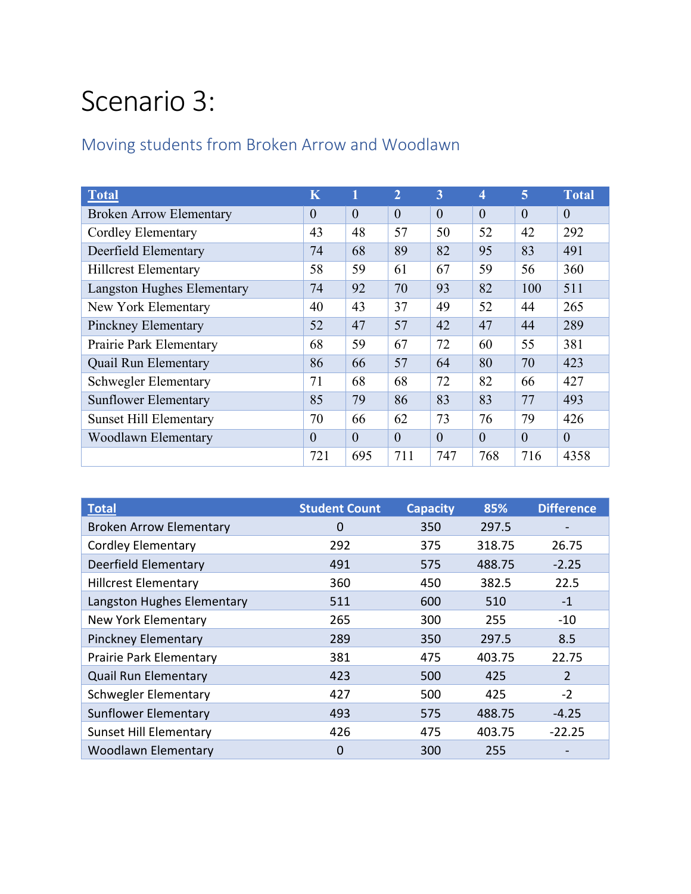# Scenario 3:

#### Moving students from Broken Arrow and Woodlawn

| <b>Total</b>                      | K        |          | $\overline{2}$ | 3        | 4        | 5        | <b>Total</b> |
|-----------------------------------|----------|----------|----------------|----------|----------|----------|--------------|
| <b>Broken Arrow Elementary</b>    | $\theta$ | $\theta$ | $\theta$       | $\theta$ | $\theta$ | $\theta$ | $\theta$     |
| <b>Cordley Elementary</b>         | 43       | 48       | 57             | 50       | 52       | 42       | 292          |
| Deerfield Elementary              | 74       | 68       | 89             | 82       | 95       | 83       | 491          |
| <b>Hillcrest Elementary</b>       | 58       | 59       | 61             | 67       | 59       | 56       | 360          |
| <b>Langston Hughes Elementary</b> | 74       | 92       | 70             | 93       | 82       | 100      | 511          |
| New York Elementary               | 40       | 43       | 37             | 49       | 52       | 44       | 265          |
| <b>Pinckney Elementary</b>        | 52       | 47       | 57             | 42       | 47       | 44       | 289          |
| Prairie Park Elementary           | 68       | 59       | 67             | 72       | 60       | 55       | 381          |
| <b>Quail Run Elementary</b>       | 86       | 66       | 57             | 64       | 80       | 70       | 423          |
| <b>Schwegler Elementary</b>       | 71       | 68       | 68             | 72       | 82       | 66       | 427          |
| <b>Sunflower Elementary</b>       | 85       | 79       | 86             | 83       | 83       | 77       | 493          |
| <b>Sunset Hill Elementary</b>     | 70       | 66       | 62             | 73       | 76       | 79       | 426          |
| Woodlawn Elementary               | $\theta$ | $\Omega$ | $\theta$       | $\theta$ | $\theta$ | $\theta$ | $\theta$     |
|                                   | 721      | 695      | 711            | 747      | 768      | 716      | 4358         |

| <b>Total</b>                   | <b>Student Count</b> | <b>Capacity</b> | 85%    | <b>Difference</b> |
|--------------------------------|----------------------|-----------------|--------|-------------------|
| <b>Broken Arrow Elementary</b> | $\Omega$             | 350             | 297.5  |                   |
| <b>Cordley Elementary</b>      | 292                  | 375             | 318.75 | 26.75             |
| Deerfield Elementary           | 491                  | 575             | 488.75 | $-2.25$           |
| <b>Hillcrest Elementary</b>    | 360                  | 450             | 382.5  | 22.5              |
| Langston Hughes Elementary     | 511                  | 600             | 510    | $-1$              |
| New York Elementary            | 265                  | 300             | 255    | $-10$             |
| <b>Pinckney Elementary</b>     | 289                  | 350             | 297.5  | 8.5               |
| Prairie Park Elementary        | 381                  | 475             | 403.75 | 22.75             |
| <b>Quail Run Elementary</b>    | 423                  | 500             | 425    | 2                 |
| <b>Schwegler Elementary</b>    | 427                  | 500             | 425    | $-2$              |
| <b>Sunflower Elementary</b>    | 493                  | 575             | 488.75 | $-4.25$           |
| <b>Sunset Hill Elementary</b>  | 426                  | 475             | 403.75 | $-22.25$          |
| <b>Woodlawn Elementary</b>     | $\mathbf 0$          | 300             | 255    |                   |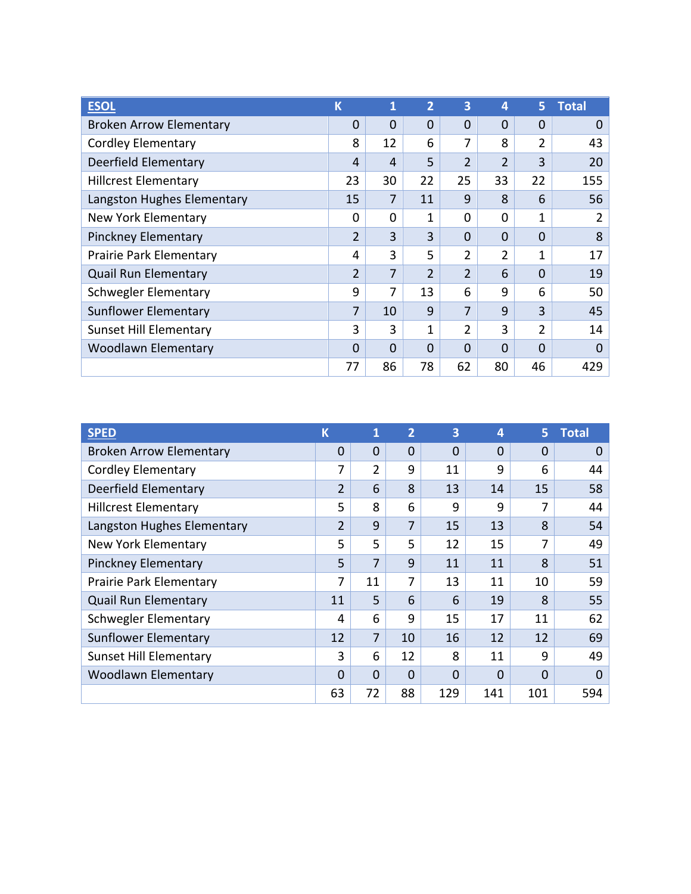| <b>ESOL</b>                    | K              | 1  | 2        | $\overline{\mathbf{3}}$ | 4              | 5              | <b>Total</b> |
|--------------------------------|----------------|----|----------|-------------------------|----------------|----------------|--------------|
| <b>Broken Arrow Elementary</b> | 0              | 0  | $\Omega$ | 0                       | 0              | 0              | 0            |
| <b>Cordley Elementary</b>      | 8              | 12 | 6        | 7                       | 8              | 2              | 43           |
| Deerfield Elementary           | 4              | 4  | 5        | $\overline{2}$          | $\overline{2}$ | 3              | 20           |
| <b>Hillcrest Elementary</b>    | 23             | 30 | 22       | 25                      | 33             | 22             | 155          |
| Langston Hughes Elementary     | 15             | 7  | 11       | 9                       | 8              | 6              | 56           |
| New York Elementary            | $\Omega$       | 0  | 1        | 0                       | 0              | 1              | 2            |
| <b>Pinckney Elementary</b>     | 2              | 3  | 3        | $\overline{0}$          | $\mathbf 0$    | $\Omega$       | 8            |
| Prairie Park Elementary        | 4              | 3  | 5        | 2                       | $\overline{2}$ | 1              | 17           |
| <b>Quail Run Elementary</b>    | $\overline{2}$ | 7  | 2        | $\overline{2}$          | 6              | $\Omega$       | 19           |
| <b>Schwegler Elementary</b>    | 9              | 7  | 13       | 6                       | 9              | 6              | 50           |
| <b>Sunflower Elementary</b>    | 7              | 10 | 9        | 7                       | 9              | 3              | 45           |
| <b>Sunset Hill Elementary</b>  | 3              | 3  | 1        | $\overline{2}$          | 3              | $\overline{2}$ | 14           |
| <b>Woodlawn Elementary</b>     | $\Omega$       | 0  | $\Omega$ | $\overline{0}$          | $\Omega$       | $\Omega$       | 0            |
|                                | 77             | 86 | 78       | 62                      | 80             | 46             | 429          |

| <b>SPED</b>                    | К              | 1              | $\overline{2}$ | 3        | 4        | 5        | <b>Total</b> |
|--------------------------------|----------------|----------------|----------------|----------|----------|----------|--------------|
| <b>Broken Arrow Elementary</b> | 0              | 0              | $\overline{0}$ | $\Omega$ | 0        | 0        | 0            |
| <b>Cordley Elementary</b>      | 7              | $\overline{2}$ | 9              | 11       | 9        | 6        | 44           |
| Deerfield Elementary           | $\overline{2}$ | 6              | 8              | 13       | 14       | 15       | 58           |
| <b>Hillcrest Elementary</b>    | 5              | 8              | 6              | 9        | 9        | 7        | 44           |
| Langston Hughes Elementary     | $\overline{2}$ | 9              | 7              | 15       | 13       | 8        | 54           |
| New York Elementary            | 5              | 5              | 5              | 12       | 15       | 7        | 49           |
| <b>Pinckney Elementary</b>     | 5              | 7              | 9              | 11       | 11       | 8        | 51           |
| Prairie Park Elementary        | 7              | 11             | 7              | 13       | 11       | 10       | 59           |
| <b>Quail Run Elementary</b>    | 11             | 5              | 6              | 6        | 19       | 8        | 55           |
| <b>Schwegler Elementary</b>    | 4              | 6              | 9              | 15       | 17       | 11       | 62           |
| <b>Sunflower Elementary</b>    | 12             | 7              | 10             | 16       | 12       | 12       | 69           |
| <b>Sunset Hill Elementary</b>  | 3              | 6              | 12             | 8        | 11       | 9        | 49           |
| <b>Woodlawn Elementary</b>     | $\mathbf 0$    | 0              | $\Omega$       | $\Omega$ | $\Omega$ | $\Omega$ | $\Omega$     |
|                                | 63             | 72             | 88             | 129      | 141      | 101      | 594          |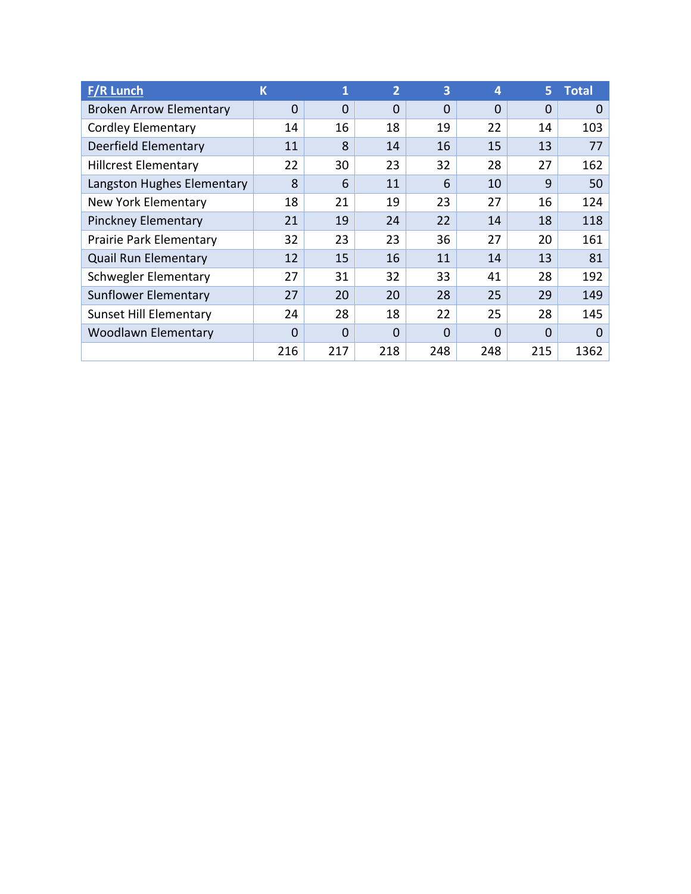| <b>F/R Lunch</b>               | K   | 1        | $\overline{2}$ | 3              | $\overline{a}$ | 5.          | <b>Total</b> |
|--------------------------------|-----|----------|----------------|----------------|----------------|-------------|--------------|
| <b>Broken Arrow Elementary</b> | 0   | $\Omega$ | 0              | $\overline{0}$ | $\Omega$       | $\Omega$    | $\Omega$     |
| <b>Cordley Elementary</b>      | 14  | 16       | 18             | 19             | 22             | 14          | 103          |
| Deerfield Elementary           | 11  | 8        | 14             | 16             | 15             | 13          | 77           |
| <b>Hillcrest Elementary</b>    | 22  | 30       | 23             | 32             | 28             | 27          | 162          |
| Langston Hughes Elementary     | 8   | 6        | 11             | 6              | 10             | 9           | 50           |
| New York Elementary            | 18  | 21       | 19             | 23             | 27             | 16          | 124          |
| <b>Pinckney Elementary</b>     | 21  | 19       | 24             | 22             | 14             | 18          | 118          |
| Prairie Park Elementary        | 32  | 23       | 23             | 36             | 27             | 20          | 161          |
| <b>Quail Run Elementary</b>    | 12  | 15       | 16             | 11             | 14             | 13          | 81           |
| <b>Schwegler Elementary</b>    | 27  | 31       | 32             | 33             | 41             | 28          | 192          |
| <b>Sunflower Elementary</b>    | 27  | 20       | 20             | 28             | 25             | 29          | 149          |
| <b>Sunset Hill Elementary</b>  | 24  | 28       | 18             | 22             | 25             | 28          | 145          |
| <b>Woodlawn Elementary</b>     | 0   | $\Omega$ | 0              | $\Omega$       | $\Omega$       | $\mathbf 0$ | $\Omega$     |
|                                | 216 | 217      | 218            | 248            | 248            | 215         | 1362         |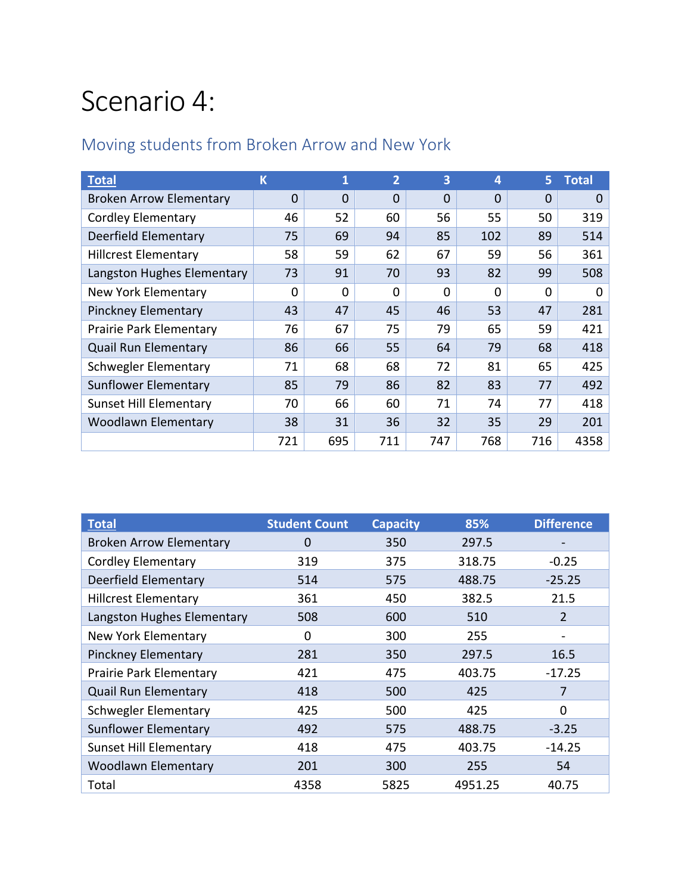## Scenario 4:

#### Moving students from Broken Arrow and New York

| <b>Total</b>                   | K        | 1        | $\overline{2}$ | 3        | 4        | 5.       | <b>Total</b> |
|--------------------------------|----------|----------|----------------|----------|----------|----------|--------------|
| <b>Broken Arrow Elementary</b> | 0        | $\Omega$ | $\mathbf 0$    | $\Omega$ | $\Omega$ | $\Omega$ | $\Omega$     |
| <b>Cordley Elementary</b>      | 46       | 52       | 60             | 56       | 55       | 50       | 319          |
| Deerfield Elementary           | 75       | 69       | 94             | 85       | 102      | 89       | 514          |
| <b>Hillcrest Elementary</b>    | 58       | 59       | 62             | 67       | 59       | 56       | 361          |
| Langston Hughes Elementary     | 73       | 91       | 70             | 93       | 82       | 99       | 508          |
| <b>New York Elementary</b>     | $\Omega$ | $\Omega$ | $\Omega$       | $\Omega$ | $\Omega$ | 0        | 0            |
| <b>Pinckney Elementary</b>     | 43       | 47       | 45             | 46       | 53       | 47       | 281          |
| Prairie Park Elementary        | 76       | 67       | 75             | 79       | 65       | 59       | 421          |
| <b>Quail Run Elementary</b>    | 86       | 66       | 55             | 64       | 79       | 68       | 418          |
| <b>Schwegler Elementary</b>    | 71       | 68       | 68             | 72       | 81       | 65       | 425          |
| <b>Sunflower Elementary</b>    | 85       | 79       | 86             | 82       | 83       | 77       | 492          |
| <b>Sunset Hill Elementary</b>  | 70       | 66       | 60             | 71       | 74       | 77       | 418          |
| <b>Woodlawn Elementary</b>     | 38       | 31       | 36             | 32       | 35       | 29       | 201          |
|                                | 721      | 695      | 711            | 747      | 768      | 716      | 4358         |

| <b>Total</b>                   | <b>Student Count</b> | <b>Capacity</b> | 85%     | <b>Difference</b> |
|--------------------------------|----------------------|-----------------|---------|-------------------|
| <b>Broken Arrow Elementary</b> | 0                    | 350             | 297.5   |                   |
| <b>Cordley Elementary</b>      | 319                  | 375             | 318.75  | $-0.25$           |
| <b>Deerfield Elementary</b>    | 514                  | 575             | 488.75  | $-25.25$          |
| <b>Hillcrest Elementary</b>    | 361                  | 450             | 382.5   | 21.5              |
| Langston Hughes Elementary     | 508                  | 600             | 510     | 2                 |
| New York Elementary            | 0                    | 300             | 255     |                   |
| <b>Pinckney Elementary</b>     | 281                  | 350             | 297.5   | 16.5              |
| Prairie Park Elementary        | 421                  | 475             | 403.75  | $-17.25$          |
| <b>Quail Run Elementary</b>    | 418                  | 500             | 425     | 7                 |
| <b>Schwegler Elementary</b>    | 425                  | 500             | 425     | 0                 |
| <b>Sunflower Elementary</b>    | 492                  | 575             | 488.75  | $-3.25$           |
| <b>Sunset Hill Elementary</b>  | 418                  | 475             | 403.75  | $-14.25$          |
| <b>Woodlawn Elementary</b>     | 201                  | 300             | 255     | 54                |
| Total                          | 4358                 | 5825            | 4951.25 | 40.75             |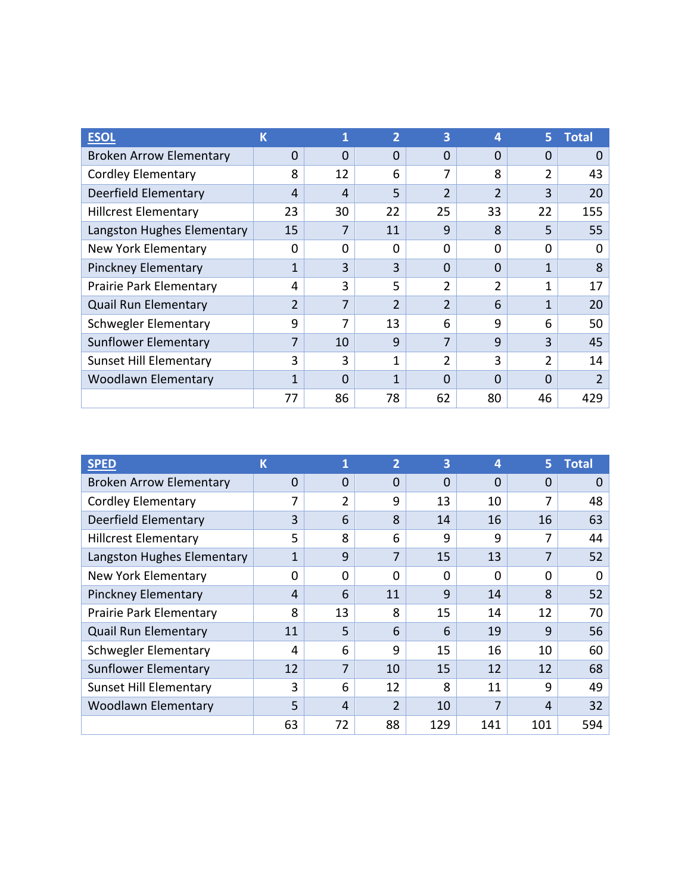| <b>ESOL</b>                    | K            | 1  | 2              | 3              | 4              | 5            | <b>Total</b> |
|--------------------------------|--------------|----|----------------|----------------|----------------|--------------|--------------|
| <b>Broken Arrow Elementary</b> | 0            | 0  | 0              | 0              | $\Omega$       | 0            |              |
| <b>Cordley Elementary</b>      | 8            | 12 | 6              | 7              | 8              | 2            | 43           |
| Deerfield Elementary           | 4            | 4  | 5              | $\overline{2}$ | $\overline{2}$ | 3            | 20           |
| <b>Hillcrest Elementary</b>    | 23           | 30 | 22             | 25             | 33             | 22           | 155          |
| Langston Hughes Elementary     | 15           | 7  | 11             | 9              | 8              | 5            | 55           |
| New York Elementary            | 0            | 0  | $\Omega$       | $\Omega$       | <sup>0</sup>   | $\Omega$     |              |
| <b>Pinckney Elementary</b>     | 1            | 3  | 3              | $\Omega$       | $\Omega$       | $\mathbf{1}$ | 8            |
| Prairie Park Elementary        | 4            | 3  | 5              | $\overline{2}$ | $\overline{2}$ | 1            | 17           |
| <b>Quail Run Elementary</b>    | 2            | 7  | $\overline{2}$ | $\overline{2}$ | 6              | $\mathbf{1}$ | 20           |
| Schwegler Elementary           | 9            | 7  | 13             | 6              | 9              | 6            | 50           |
| <b>Sunflower Elementary</b>    | 7            | 10 | 9              | 7              | 9              | 3            | 45           |
| <b>Sunset Hill Elementary</b>  | 3            | 3  | 1              | $\overline{2}$ | 3              | 2            | 14           |
| <b>Woodlawn Elementary</b>     | $\mathbf{1}$ | 0  | 1              | 0              | $\Omega$       | $\Omega$     | 2            |
|                                | 77           | 86 | 78             | 62             | 80             | 46           | 429          |

| <b>SPED</b>                    | K  | 1  | $\overline{2}$ | 3        | $\boldsymbol{4}$ | 5.       | <b>Total</b> |
|--------------------------------|----|----|----------------|----------|------------------|----------|--------------|
| <b>Broken Arrow Elementary</b> | 0  | 0  | 0              | $\Omega$ | $\Omega$         | 0        | 0            |
| <b>Cordley Elementary</b>      | 7  | 2  | 9              | 13       | 10               | 7        | 48           |
| Deerfield Elementary           | 3  | 6  | 8              | 14       | 16               | 16       | 63           |
| <b>Hillcrest Elementary</b>    | 5  | 8  | 6              | 9        | 9                | 7        | 44           |
| Langston Hughes Elementary     | 1  | 9  | 7              | 15       | 13               | 7        | 52           |
| New York Elementary            | 0  | 0  | $\Omega$       | 0        | $\Omega$         | $\Omega$ | 0            |
| <b>Pinckney Elementary</b>     | 4  | 6  | 11             | 9        | 14               | 8        | 52           |
| Prairie Park Elementary        | 8  | 13 | 8              | 15       | 14               | 12       | 70           |
| <b>Quail Run Elementary</b>    | 11 | 5  | 6              | 6        | 19               | 9        | 56           |
| <b>Schwegler Elementary</b>    | 4  | 6  | 9              | 15       | 16               | 10       | 60           |
| <b>Sunflower Elementary</b>    | 12 | 7  | 10             | 15       | 12               | 12       | 68           |
| <b>Sunset Hill Elementary</b>  | 3  | 6  | 12             | 8        | 11               | 9        | 49           |
| <b>Woodlawn Elementary</b>     | 5  | 4  | 2              | 10       | 7                | 4        | 32           |
|                                | 63 | 72 | 88             | 129      | 141              | 101      | 594          |